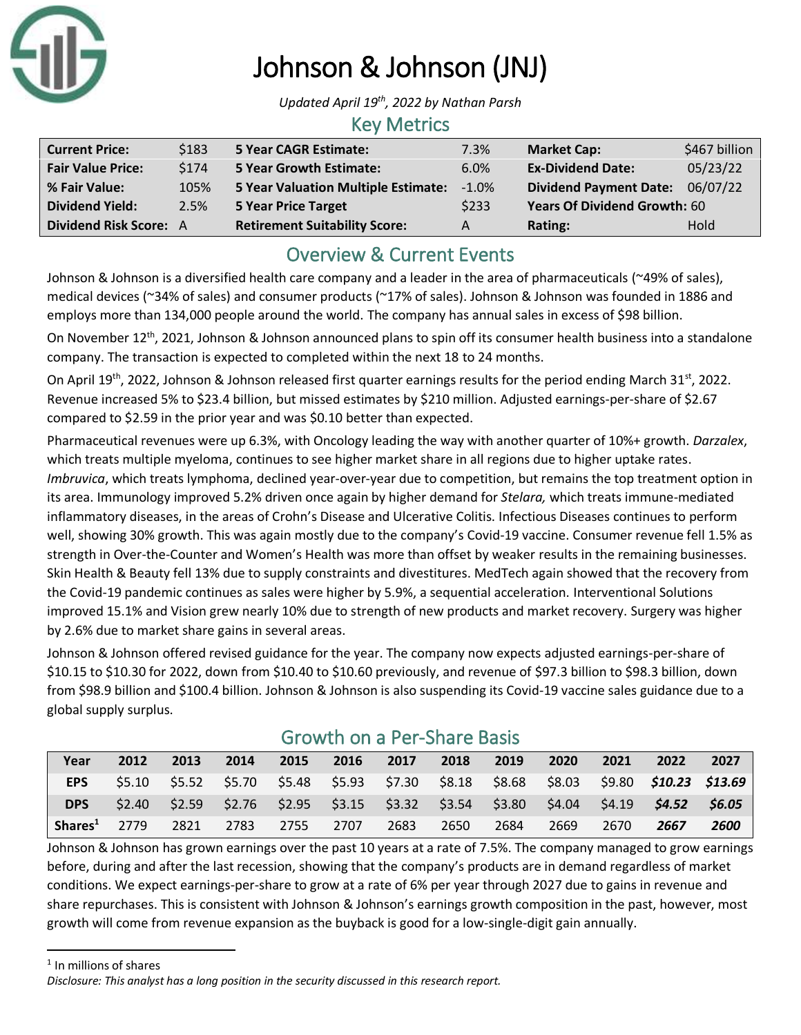

# Johnson & Johnson (JNJ)

*Updated April 19th, 2022 by Nathan Parsh*

## Key Metrics

| <b>Current Price:</b>    | \$183 | <b>5 Year CAGR Estimate:</b>               | 7.3%     | <b>Market Cap:</b>                  | \$467 billion |
|--------------------------|-------|--------------------------------------------|----------|-------------------------------------|---------------|
| <b>Fair Value Price:</b> | \$174 | <b>5 Year Growth Estimate:</b>             | 6.0%     | <b>Ex-Dividend Date:</b>            | 05/23/22      |
| % Fair Value:            | 105%  | <b>5 Year Valuation Multiple Estimate:</b> | $-1.0\%$ | Dividend Payment Date: 06/07/22     |               |
| <b>Dividend Yield:</b>   | 2.5%  | <b>5 Year Price Target</b>                 | \$233    | <b>Years Of Dividend Growth: 60</b> |               |
| Dividend Risk Score: A   |       | <b>Retirement Suitability Score:</b>       | A        | Rating:                             | Hold          |

## Overview & Current Events

Johnson & Johnson is a diversified health care company and a leader in the area of pharmaceuticals (~49% of sales), medical devices (~34% of sales) and consumer products (~17% of sales). Johnson & Johnson was founded in 1886 and employs more than 134,000 people around the world. The company has annual sales in excess of \$98 billion.

On November 12<sup>th</sup>, 2021, Johnson & Johnson announced plans to spin off its consumer health business into a standalone company. The transaction is expected to completed within the next 18 to 24 months.

On April 19<sup>th</sup>, 2022, Johnson & Johnson released first quarter earnings results for the period ending March 31<sup>st</sup>, 2022. Revenue increased 5% to \$23.4 billion, but missed estimates by \$210 million. Adjusted earnings-per-share of \$2.67 compared to \$2.59 in the prior year and was \$0.10 better than expected.

Pharmaceutical revenues were up 6.3%, with Oncology leading the way with another quarter of 10%+ growth. *Darzalex*, which treats multiple myeloma, continues to see higher market share in all regions due to higher uptake rates. *Imbruvica*, which treats lymphoma, declined year-over-year due to competition, but remains the top treatment option in its area. Immunology improved 5.2% driven once again by higher demand for *Stelara,* which treats immune-mediated inflammatory diseases, in the areas of Crohn's Disease and Ulcerative Colitis. Infectious Diseases continues to perform well, showing 30% growth. This was again mostly due to the company's Covid-19 vaccine. Consumer revenue fell 1.5% as strength in Over-the-Counter and Women's Health was more than offset by weaker results in the remaining businesses. Skin Health & Beauty fell 13% due to supply constraints and divestitures. MedTech again showed that the recovery from the Covid-19 pandemic continues as sales were higher by 5.9%, a sequential acceleration. Interventional Solutions improved 15.1% and Vision grew nearly 10% due to strength of new products and market recovery. Surgery was higher by 2.6% due to market share gains in several areas.

Johnson & Johnson offered revised guidance for the year. The company now expects adjusted earnings-per-share of \$10.15 to \$10.30 for 2022, down from \$10.40 to \$10.60 previously, and revenue of \$97.3 billion to \$98.3 billion, down from \$98.9 billion and \$100.4 billion. Johnson & Johnson is also suspending its Covid-19 vaccine sales guidance due to a global supply surplus.

| Year                | 2012   | 2013 | 2014 | 2015 | 2016 | 2017                                             | 2018 | 2019 | 2020 | 2021 | 2022                                                                                                  | 2027 |
|---------------------|--------|------|------|------|------|--------------------------------------------------|------|------|------|------|-------------------------------------------------------------------------------------------------------|------|
| <b>EPS</b>          | \$5.10 |      |      |      |      |                                                  |      |      |      |      | \$5.52  \$5.70  \$5.48  \$5.93  \$7.30  \$8.18  \$8.68  \$8.03  \$9.80 <b>\$1<i>0.23  \$13.69</i></b> |      |
| <b>DPS</b>          | \$2.40 |      |      |      |      | \$2.59 \$2.76 \$2.95 \$3.15 \$3.32 \$3.54 \$3.80 |      |      |      |      | $$4.04$ $$4.19$ $$4.52$ $$6.05$                                                                       |      |
| Shares <sup>1</sup> | 2779   | 2821 | 2783 | 2755 | 2707 | 2683                                             | 2650 | 2684 | 2669 | 2670 | 2667                                                                                                  | 2600 |

## Growth on a Per-Share Basis

Johnson & Johnson has grown earnings over the past 10 years at a rate of 7.5%. The company managed to grow earnings before, during and after the last recession, showing that the company's products are in demand regardless of market conditions. We expect earnings-per-share to grow at a rate of 6% per year through 2027 due to gains in revenue and share repurchases. This is consistent with Johnson & Johnson's earnings growth composition in the past, however, most growth will come from revenue expansion as the buyback is good for a low-single-digit gain annually.

<sup>1</sup> In millions of shares

*Disclosure: This analyst has a long position in the security discussed in this research report.*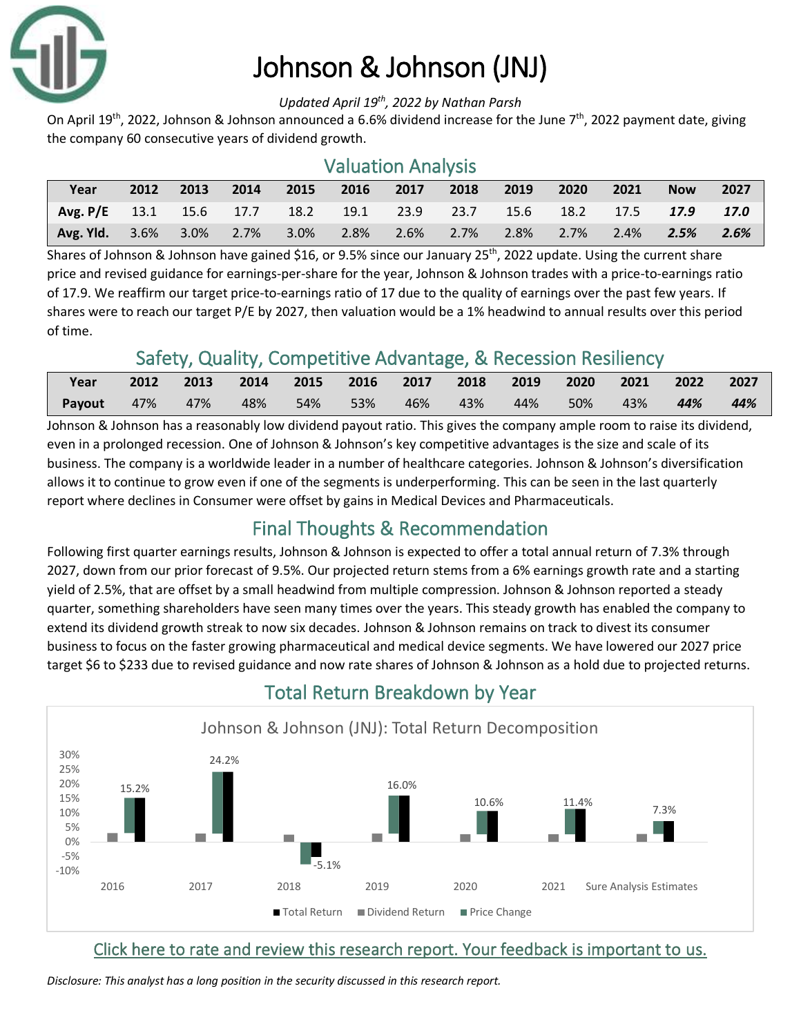

# Johnson & Johnson (JNJ)

#### *Updated April 19th, 2022 by Nathan Parsh*

On April 19<sup>th</sup>, 2022, Johnson & Johnson announced a 6.6% dividend increase for the June 7<sup>th</sup>, 2022 payment date, giving the company 60 consecutive years of dividend growth.

### Valuation Analysis

| Year                                        | 2012 | 2013    | 2014 | 2015      | 2016    | 2017      | 2018 | 2019 | 2020    | 2021 | <b>Now</b>                 | 2027 |
|---------------------------------------------|------|---------|------|-----------|---------|-----------|------|------|---------|------|----------------------------|------|
| Avg. P/E 13.1 15.6 17.7 18.2 19.1 23.9 23.7 |      |         |      |           |         |           |      |      |         |      | 15.6 18.2 17.5 <b>17.9</b> | 17.0 |
| <b>Avg. Yld.</b> 3.6%                       |      | $3.0\%$ |      | 2.7% 3.0% | $2.8\%$ | 2.6% 2.7% |      | 2.8% | $2.7\%$ | 2.4% | $\overline{2.5\%}$         | 2.6% |

Shares of Johnson & Johnson have gained \$16, or 9.5% since our January 25<sup>th</sup>, 2022 update. Using the current share price and revised guidance for earnings-per-share for the year, Johnson & Johnson trades with a price-to-earnings ratio of 17.9. We reaffirm our target price-to-earnings ratio of 17 due to the quality of earnings over the past few years. If shares were to reach our target P/E by 2027, then valuation would be a 1% headwind to annual results over this period of time.

## Safety, Quality, Competitive Advantage, & Recession Resiliency

| Year   |         | 2012 2013 2014 2015 2016 2017 2018 2019 2020 |     |        |          |     |     |     | 2021 2022 2027 |        |
|--------|---------|----------------------------------------------|-----|--------|----------|-----|-----|-----|----------------|--------|
| Payout | 47% 47% | 48%                                          | 54% | $53\%$ | 46%  43% | 44% | 50% | 43% | 44%            | $-44%$ |

Johnson & Johnson has a reasonably low dividend payout ratio. This gives the company ample room to raise its dividend, even in a prolonged recession. One of Johnson & Johnson's key competitive advantages is the size and scale of its business. The company is a worldwide leader in a number of healthcare categories. Johnson & Johnson's diversification allows it to continue to grow even if one of the segments is underperforming. This can be seen in the last quarterly report where declines in Consumer were offset by gains in Medical Devices and Pharmaceuticals.

## Final Thoughts & Recommendation

Following first quarter earnings results, Johnson & Johnson is expected to offer a total annual return of 7.3% through 2027, down from our prior forecast of 9.5%. Our projected return stems from a 6% earnings growth rate and a starting yield of 2.5%, that are offset by a small headwind from multiple compression. Johnson & Johnson reported a steady quarter, something shareholders have seen many times over the years. This steady growth has enabled the company to extend its dividend growth streak to now six decades. Johnson & Johnson remains on track to divest its consumer business to focus on the faster growing pharmaceutical and medical device segments. We have lowered our 2027 price target \$6 to \$233 due to revised guidance and now rate shares of Johnson & Johnson as a hold due to projected returns.



## Total Return Breakdown by Year

#### [Click here to rate and review this research report. Your feedback is important to us.](https://suredividend.typeform.com/to/pOfbkh)

*Disclosure: This analyst has a long position in the security discussed in this research report.*